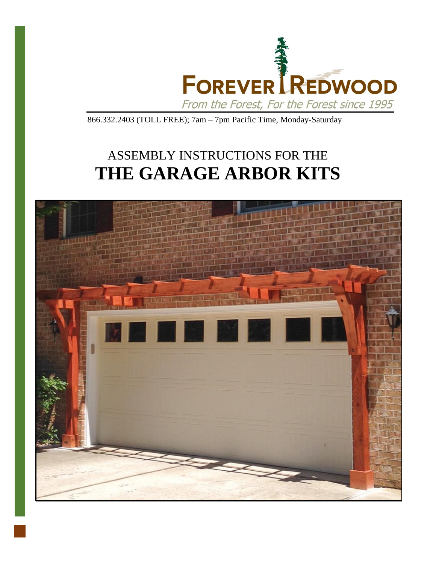

866.332.2403 (TOLL FREE); 7am – 7pm Pacific Time, Monday-Saturday

## ASSEMBLY INSTRUCTIONS FOR THE **THE GARAGE ARBOR KITS**

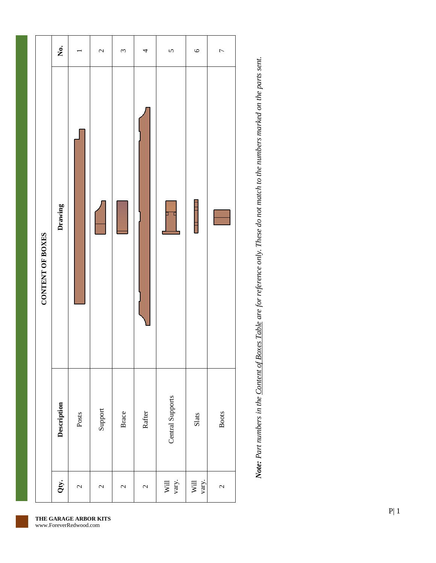|                  | Ż.          |              | $\mathcal{L}$            | 3            | 4                        | $\mathbf{\hat{z}}$ | $\circ$       | $\overline{ }$           |
|------------------|-------------|--------------|--------------------------|--------------|--------------------------|--------------------|---------------|--------------------------|
| CONTENT OF BOXES | Drawing     |              |                          |              |                          |                    | ١             |                          |
|                  | Description | Posts        | Support                  | Brace        | Rafter                   | Central Supports   | Slats         | <b>Boots</b>             |
|                  | Qty.        | $\mathbf{c}$ | $\overline{\mathcal{C}}$ | $\mathbf{c}$ | $\overline{\mathcal{C}}$ | Will<br>vary.      | Will<br>vary. | $\overline{\mathcal{C}}$ |

Note: Part numbers in the Content of Boxes Table are for reference only. These do not match to the numbers marked on the parts sent. *Note: Part numbers in the Content of Boxes Table are for reference only. These do not match to the numbers marked on the parts sent.*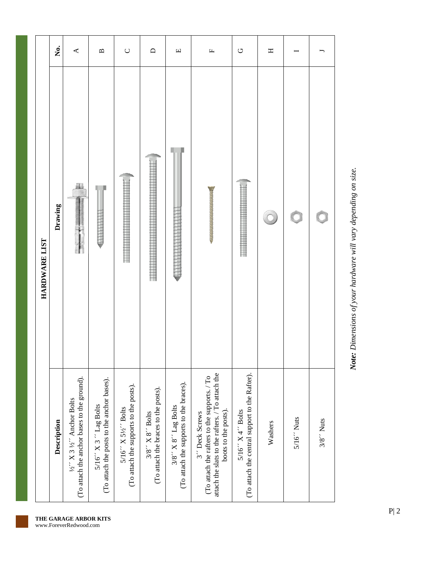|               | ,<br>Š      | ₹                                                                                                                                                                                                                                                                                                                                                                  | $\mathbf{m}$                                                              | $\cup$                                                                       | $\Box$                                                                        | $\Box$                                                                                                           | $\mathbb{L}$                                                                                                                             | $\circlearrowright$                                                   | Η       |                               |                        |
|---------------|-------------|--------------------------------------------------------------------------------------------------------------------------------------------------------------------------------------------------------------------------------------------------------------------------------------------------------------------------------------------------------------------|---------------------------------------------------------------------------|------------------------------------------------------------------------------|-------------------------------------------------------------------------------|------------------------------------------------------------------------------------------------------------------|------------------------------------------------------------------------------------------------------------------------------------------|-----------------------------------------------------------------------|---------|-------------------------------|------------------------|
| HARDWARE LIST | Drawing     | ä.                                                                                                                                                                                                                                                                                                                                                                 |                                                                           | <b>THE REAL PROPERTY AND EXPERIES</b>                                        |                                                                               |                                                                                                                  | <b>Experience and adventure construction</b>                                                                                             |                                                                       |         |                               |                        |
|               | Description | (To attach the anchor bases to the ground).<br>$\frac{1}{2}$ $\frac{1}{2}$ $\frac{1}{2}$ $\frac{1}{2}$ $\frac{1}{2}$ $\frac{1}{2}$ $\frac{1}{2}$ $\frac{1}{2}$ $\frac{1}{2}$ $\frac{1}{2}$ $\frac{1}{2}$ $\frac{1}{2}$ $\frac{1}{2}$ $\frac{1}{2}$ $\frac{1}{2}$ $\frac{1}{2}$ $\frac{1}{2}$ $\frac{1}{2}$ $\frac{1}{2}$ $\frac{1}{2}$ $\frac{1}{2}$ $\frac{1}{2}$ | (To attach the posts to the anchor bases).<br>$5/16''$ X 3 $''$ Lag Bolts | (To attach the supports to the posts).<br>$5/16''$ X $5\frac{1}{2}$<br>Tolts | (To attach the braces to the posts).<br>$3/8$ $^\prime$ X $8$ $^\prime$ Bolts | (To attach the supports to the braces).<br>$3/8$ $\rlap{.}{\prime}$ X $8$ $\rlap{.}{\prime}$ $\lbrack$ Lag Bolts | attach the slats to the rafters. / To attach the<br>(To attach the rafters to the supports./To<br>boots to the posts).<br>3" Deck Screws | (To attach the central support to the Rafter).<br>$5/16''$ X 4" Bolts | Washers | $5/16$ $^{\prime\prime}$ Nuts | $3/8$ $^{\prime}$ Nuts |

Note: Dimensions of your hardware will vary depending on size. *Note: Dimensions of your hardware will vary depending on size.*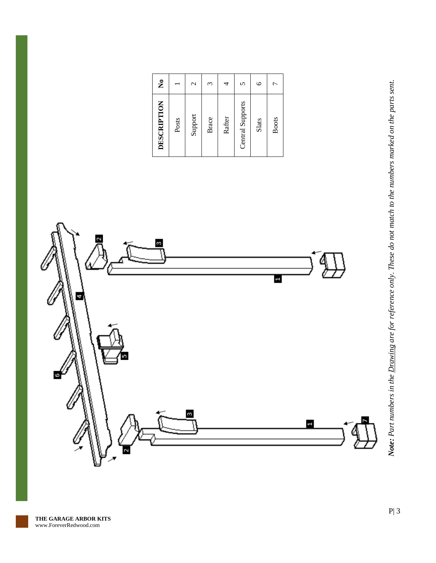| DESCRIPTION      | ż           |
|------------------|-------------|
| Posts            |             |
| Support          | $\mathbf 2$ |
| Brace            | 3           |
| Rafter           | 4           |
| Central Supports | 5           |
| Slats            | $\circ$     |
| <b>Boots</b>     |             |

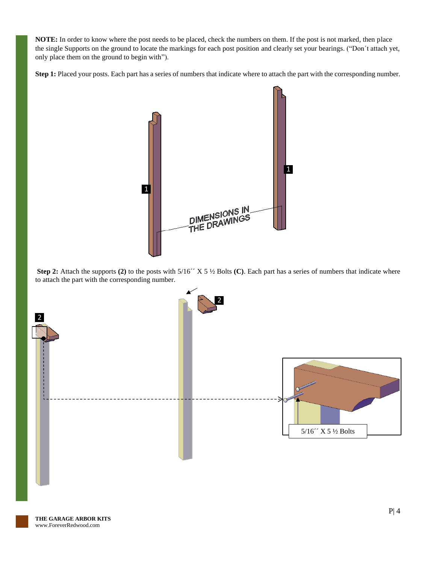**NOTE:** In order to know where the post needs to be placed, check the numbers on them. If the post is not marked, then place the single Supports on the ground to locate the markings for each post position and clearly set your bearings. ("Don´t attach yet, only place them on the ground to begin with").

Step 1: Placed your posts. Each part has a series of numbers that indicate where to attach the part with the corresponding number.



**Step 2:** Attach the supports **(2)** to the posts with 5/16´´ X 5 ½ Bolts **(C)**. Each part has a series of numbers that indicate where to attach the part with the corresponding number.

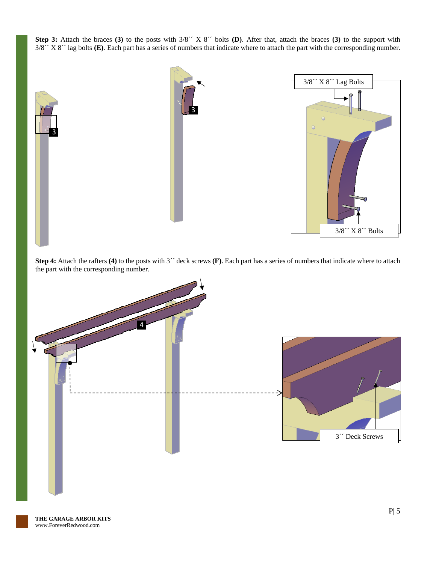**Step 3:** Attach the braces **(3)** to the posts with 3/8´´ X 8´´ bolts **(D)**. After that, attach the braces **(3)** to the support with 3/8´´ X 8´´ lag bolts **(E)**. Each part has a series of numbers that indicate where to attach the part with the corresponding number.



**Step 4:** Attach the rafters **(4)** to the posts with 3´´ deck screws **(F)**. Each part has a series of numbers that indicate where to attach the part with the corresponding number.

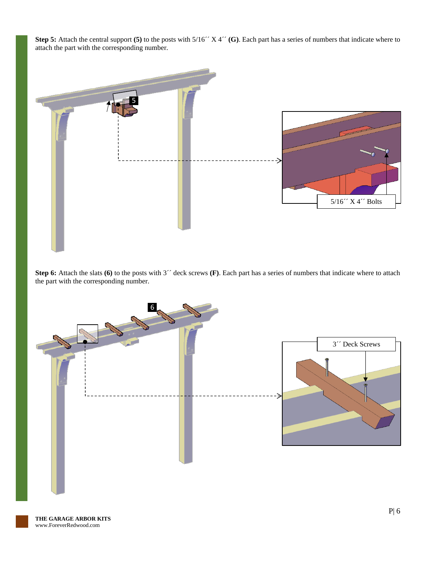**Step 5:** Attach the central support (5) to the posts with  $5/16''$  X 4<sup> $\prime\prime$ </sup> (G). Each part has a series of numbers that indicate where to attach the part with the corresponding number.



**Step 6:** Attach the slats (6) to the posts with 3<sup>22</sup> deck screws (F). Each part has a series of numbers that indicate where to attach the part with the corresponding number.

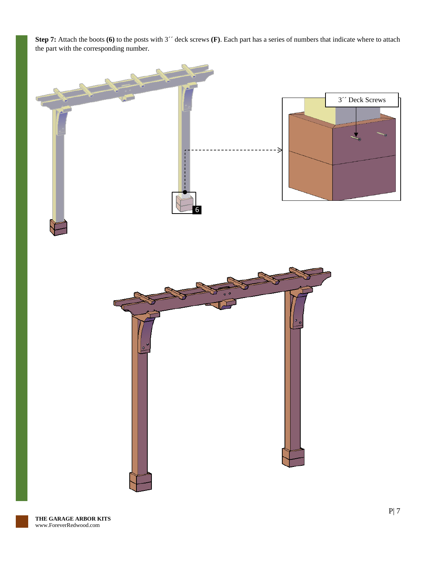**Step 7:** Attach the boots (6) to the posts with 3<sup>2</sup> deck screws (F). Each part has a series of numbers that indicate where to attach the part with the corresponding number.